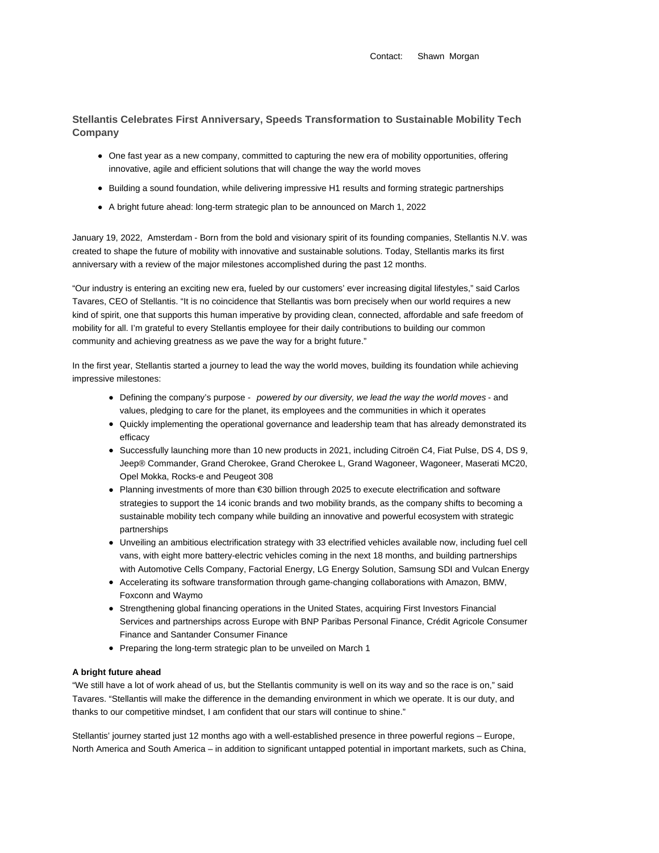Contact: Shawn Morgan

## **Stellantis Celebrates First Anniversary, Speeds Transformation to Sustainable Mobility Tech Company**

- One fast year as a new company, committed to capturing the new era of mobility opportunities, offering innovative, agile and efficient solutions that will change the way the world moves
- Building a sound foundation, while delivering impressive H1 results and forming strategic partnerships
- A bright future ahead: long-term strategic plan to be announced on March 1, 2022

January 19, 2022, Amsterdam - Born from the bold and visionary spirit of its founding companies, Stellantis N.V. was created to shape the future of mobility with innovative and sustainable solutions. Today, Stellantis marks its first anniversary with a review of the major milestones accomplished during the past 12 months.

"Our industry is entering an exciting new era, fueled by our customers' ever increasing digital lifestyles," said Carlos Tavares, CEO of Stellantis. "It is no coincidence that Stellantis was born precisely when our world requires a new kind of spirit, one that supports this human imperative by providing clean, connected, affordable and safe freedom of mobility for all. I'm grateful to every Stellantis employee for their daily contributions to building our common community and achieving greatness as we pave the way for a bright future."

In the first year, Stellantis started a journey to lead the way the world moves, building its foundation while achieving impressive milestones:

- Defining the company's purpose powered by our diversity, we lead the way the world moves and values, pledging to care for the planet, its employees and the communities in which it operates
- Quickly implementing the operational governance and leadership team that has already demonstrated its efficacy
- Successfully launching more than 10 new products in 2021, including Citroën C4, Fiat Pulse, DS 4, DS 9, Jeep® Commander, Grand Cherokee, Grand Cherokee L, Grand Wagoneer, Wagoneer, Maserati MC20, Opel Mokka, Rocks-e and Peugeot 308
- Planning investments of more than €30 billion through 2025 to execute electrification and software strategies to support the 14 iconic brands and two mobility brands, as the company shifts to becoming a sustainable mobility tech company while building an innovative and powerful ecosystem with strategic partnerships
- Unveiling an ambitious electrification strategy with 33 electrified vehicles available now, including fuel cell vans, with eight more battery-electric vehicles coming in the next 18 months, and building partnerships with Automotive Cells Company, Factorial Energy, LG Energy Solution, Samsung SDI and Vulcan Energy
- Accelerating its software transformation through game-changing collaborations with Amazon, BMW, Foxconn and Waymo
- Strengthening global financing operations in the United States, acquiring First Investors Financial Services and partnerships across Europe with BNP Paribas Personal Finance, Crédit Agricole Consumer Finance and Santander Consumer Finance
- Preparing the long-term strategic plan to be unveiled on March 1

## **A bright future ahead**

"We still have a lot of work ahead of us, but the Stellantis community is well on its way and so the race is on," said Tavares. "Stellantis will make the difference in the demanding environment in which we operate. It is our duty, and thanks to our competitive mindset, I am confident that our stars will continue to shine."

Stellantis' journey started just 12 months ago with a well-established presence in three powerful regions – Europe, North America and South America – in addition to significant untapped potential in important markets, such as China,